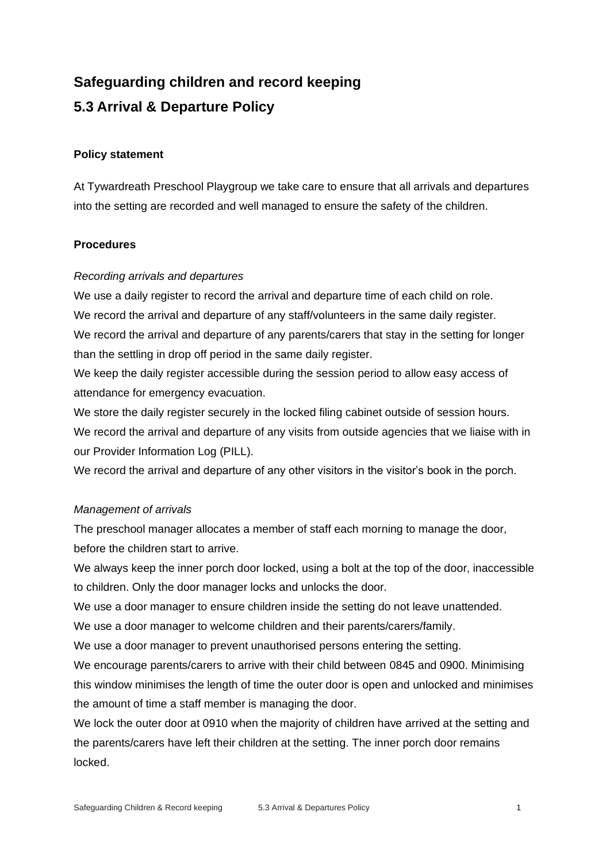# **Safeguarding children and record keeping 5.3 Arrival & Departure Policy**

### **Policy statement**

At Tywardreath Preschool Playgroup we take care to ensure that all arrivals and departures into the setting are recorded and well managed to ensure the safety of the children.

# **Procedures**

#### *Recording arrivals and departures*

We use a daily register to record the arrival and departure time of each child on role. We record the arrival and departure of any staff/volunteers in the same daily register. We record the arrival and departure of any parents/carers that stay in the setting for longer than the settling in drop off period in the same daily register.

We keep the daily register accessible during the session period to allow easy access of attendance for emergency evacuation.

We store the daily register securely in the locked filing cabinet outside of session hours. We record the arrival and departure of any visits from outside agencies that we liaise with in our Provider Information Log (PILL).

We record the arrival and departure of any other visitors in the visitor's book in the porch.

# *Management of arrivals*

The preschool manager allocates a member of staff each morning to manage the door, before the children start to arrive.

We always keep the inner porch door locked, using a bolt at the top of the door, inaccessible to children. Only the door manager locks and unlocks the door.

We use a door manager to ensure children inside the setting do not leave unattended.

We use a door manager to welcome children and their parents/carers/family.

We use a door manager to prevent unauthorised persons entering the setting.

We encourage parents/carers to arrive with their child between 0845 and 0900. Minimising this window minimises the length of time the outer door is open and unlocked and minimises the amount of time a staff member is managing the door.

We lock the outer door at 0910 when the majority of children have arrived at the setting and the parents/carers have left their children at the setting. The inner porch door remains locked.